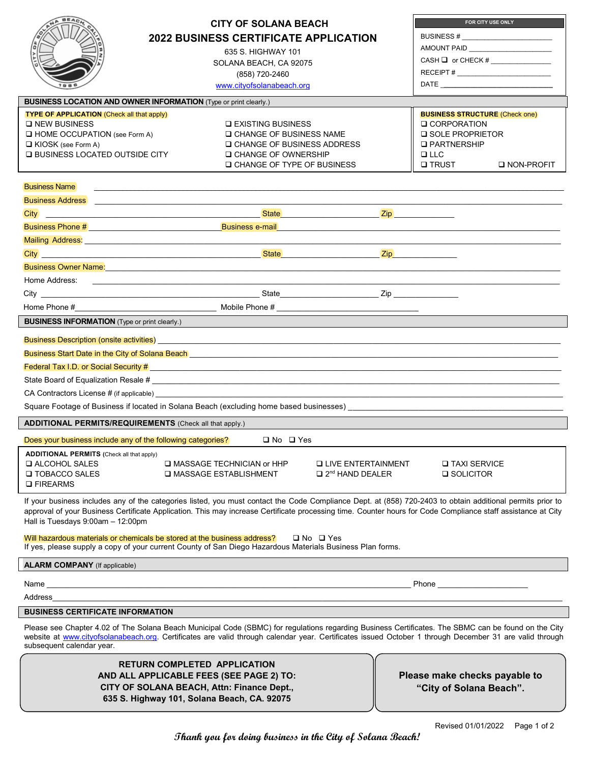|                                                                                                                                                                                                                                                                                                                                                                 |                                                                                                                                                                              | FOR CITY USE ONLY                                        |  |
|-----------------------------------------------------------------------------------------------------------------------------------------------------------------------------------------------------------------------------------------------------------------------------------------------------------------------------------------------------------------|------------------------------------------------------------------------------------------------------------------------------------------------------------------------------|----------------------------------------------------------|--|
|                                                                                                                                                                                                                                                                                                                                                                 | <b>CITY OF SOLANA BEACH</b>                                                                                                                                                  |                                                          |  |
|                                                                                                                                                                                                                                                                                                                                                                 | <b>2022 BUSINESS CERTIFICATE APPLICATION</b>                                                                                                                                 |                                                          |  |
|                                                                                                                                                                                                                                                                                                                                                                 | 635 S. HIGHWAY 101                                                                                                                                                           | AMOUNT PAID ______________________                       |  |
|                                                                                                                                                                                                                                                                                                                                                                 | SOLANA BEACH, CA 92075                                                                                                                                                       | $CASH \Box$ or $CHECK \#$ _______________                |  |
|                                                                                                                                                                                                                                                                                                                                                                 | (858) 720-2460                                                                                                                                                               |                                                          |  |
|                                                                                                                                                                                                                                                                                                                                                                 | www.cityofsolanabeach.org                                                                                                                                                    |                                                          |  |
|                                                                                                                                                                                                                                                                                                                                                                 | <b>BUSINESS LOCATION AND OWNER INFORMATION</b> (Type or print clearly.)                                                                                                      |                                                          |  |
| <b>TYPE OF APPLICATION (Check all that apply)</b>                                                                                                                                                                                                                                                                                                               |                                                                                                                                                                              | <b>BUSINESS STRUCTURE (Check one)</b>                    |  |
| <b>Q NEW BUSINESS</b>                                                                                                                                                                                                                                                                                                                                           | <b>Q EXISTING BUSINESS</b><br><b>□ CHANGE OF BUSINESS NAME</b>                                                                                                               | <b>Q CORPORATION</b><br><b>Q SOLE PROPRIETOR</b>         |  |
| I HOME OCCUPATION (see Form A)<br>□ KIOSK (see Form A)                                                                                                                                                                                                                                                                                                          | <b>□ CHANGE OF BUSINESS ADDRESS</b>                                                                                                                                          | <b>Q PARTNERSHIP</b>                                     |  |
| <b>Q BUSINESS LOCATED OUTSIDE CITY</b>                                                                                                                                                                                                                                                                                                                          | <b>□ CHANGE OF OWNERSHIP</b>                                                                                                                                                 | $\Box$ LLC                                               |  |
|                                                                                                                                                                                                                                                                                                                                                                 | <b>Q CHANGE OF TYPE OF BUSINESS</b>                                                                                                                                          | <b>□ TRUST</b><br>□ NON-PROFIT                           |  |
|                                                                                                                                                                                                                                                                                                                                                                 |                                                                                                                                                                              |                                                          |  |
| <b>Business Name</b>                                                                                                                                                                                                                                                                                                                                            |                                                                                                                                                                              |                                                          |  |
|                                                                                                                                                                                                                                                                                                                                                                 | Business Address <b>Address Andreas Address and Address Contract and Address Address</b>                                                                                     |                                                          |  |
|                                                                                                                                                                                                                                                                                                                                                                 | State <u>Contains and Zip</u>                                                                                                                                                |                                                          |  |
|                                                                                                                                                                                                                                                                                                                                                                 |                                                                                                                                                                              |                                                          |  |
|                                                                                                                                                                                                                                                                                                                                                                 |                                                                                                                                                                              |                                                          |  |
|                                                                                                                                                                                                                                                                                                                                                                 | State <u>Contract Cipe and State</u>                                                                                                                                         |                                                          |  |
|                                                                                                                                                                                                                                                                                                                                                                 | Business Owner Name: Mannel Mannel Manne Manne Manne Manne Manne Manne Manne Manne                                                                                           |                                                          |  |
| Home Address:                                                                                                                                                                                                                                                                                                                                                   | <u> 1989 - Johann Harry Harry Harry Harry Harry Harry Harry Harry Harry Harry Harry Harry Harry Harry Harry Harry</u>                                                        |                                                          |  |
|                                                                                                                                                                                                                                                                                                                                                                 |                                                                                                                                                                              |                                                          |  |
| Home Phone #                                                                                                                                                                                                                                                                                                                                                    |                                                                                                                                                                              |                                                          |  |
|                                                                                                                                                                                                                                                                                                                                                                 |                                                                                                                                                                              |                                                          |  |
| <b>BUSINESS INFORMATION</b> (Type or print clearly.)                                                                                                                                                                                                                                                                                                            |                                                                                                                                                                              |                                                          |  |
|                                                                                                                                                                                                                                                                                                                                                                 |                                                                                                                                                                              |                                                          |  |
| Business Start Date in the City of Solana Beach <b>Construction of the Construction of the City of Solana</b>                                                                                                                                                                                                                                                   |                                                                                                                                                                              |                                                          |  |
|                                                                                                                                                                                                                                                                                                                                                                 |                                                                                                                                                                              |                                                          |  |
|                                                                                                                                                                                                                                                                                                                                                                 |                                                                                                                                                                              |                                                          |  |
|                                                                                                                                                                                                                                                                                                                                                                 |                                                                                                                                                                              |                                                          |  |
| Square Footage of Business if located in Solana Beach (excluding home based businesses)                                                                                                                                                                                                                                                                         |                                                                                                                                                                              |                                                          |  |
|                                                                                                                                                                                                                                                                                                                                                                 |                                                                                                                                                                              |                                                          |  |
| <b>ADDITIONAL PERMITS/REQUIREMENTS (Check all that apply.)</b>                                                                                                                                                                                                                                                                                                  |                                                                                                                                                                              |                                                          |  |
| Does your business include any of the following categories?<br>$\Box$ No $\Box$ Yes                                                                                                                                                                                                                                                                             |                                                                                                                                                                              |                                                          |  |
| <b>ADDITIONAL PERMITS (Check all that apply)</b>                                                                                                                                                                                                                                                                                                                |                                                                                                                                                                              |                                                          |  |
| <b>Q ALCOHOL SALES</b>                                                                                                                                                                                                                                                                                                                                          | I MASSAGE TECHNICIAN or HHP<br><b>Q LIVE ENTERTAINMENT</b>                                                                                                                   | <b>Q TAXI SERVICE</b>                                    |  |
| <b>Q TOBACCO SALES</b>                                                                                                                                                                                                                                                                                                                                          | $\Box$ 2 <sup>nd</sup> HAND DEALER<br>□ MASSAGE ESTABLISHMENT                                                                                                                | <b>□ SOLICITOR</b>                                       |  |
| <b>Q FIREARMS</b>                                                                                                                                                                                                                                                                                                                                               |                                                                                                                                                                              |                                                          |  |
| If your business includes any of the categories listed, you must contact the Code Compliance Dept. at (858) 720-2403 to obtain additional permits prior to<br>approval of your Business Certificate Application. This may increase Certificate processing time. Counter hours for Code Compliance staff assistance at City<br>Hall is Tuesdays 9:00am - 12:00pm |                                                                                                                                                                              |                                                          |  |
| Will hazardous materials or chemicals be stored at the business address?<br>$\Box$ No $\Box$ Yes<br>If yes, please supply a copy of your current County of San Diego Hazardous Materials Business Plan forms.                                                                                                                                                   |                                                                                                                                                                              |                                                          |  |
| <b>ALARM COMPANY</b> (If applicable)                                                                                                                                                                                                                                                                                                                            |                                                                                                                                                                              |                                                          |  |
| Name                                                                                                                                                                                                                                                                                                                                                            |                                                                                                                                                                              |                                                          |  |
| Address                                                                                                                                                                                                                                                                                                                                                         |                                                                                                                                                                              |                                                          |  |
| <b>BUSINESS CERTIFICATE INFORMATION</b>                                                                                                                                                                                                                                                                                                                         |                                                                                                                                                                              |                                                          |  |
| Please see Chapter 4.02 of The Solana Beach Municipal Code (SBMC) for regulations regarding Business Certificates. The SBMC can be found on the City<br>website at www.cityofsolanabeach.org. Certificates are valid through calendar year. Certificates issued October 1 through December 31 are valid through<br>subsequent calendar year.                    |                                                                                                                                                                              |                                                          |  |
|                                                                                                                                                                                                                                                                                                                                                                 | <b>RETURN COMPLETED APPLICATION</b><br>AND ALL APPLICABLE FEES (SEE PAGE 2) TO:<br>CITY OF SOLANA BEACH, Attn: Finance Dept.,<br>635 S. Highway 101, Solana Beach, CA. 92075 | Please make checks payable to<br>"City of Solana Beach". |  |

**Thank you for doing business in the City of Solana Beach!**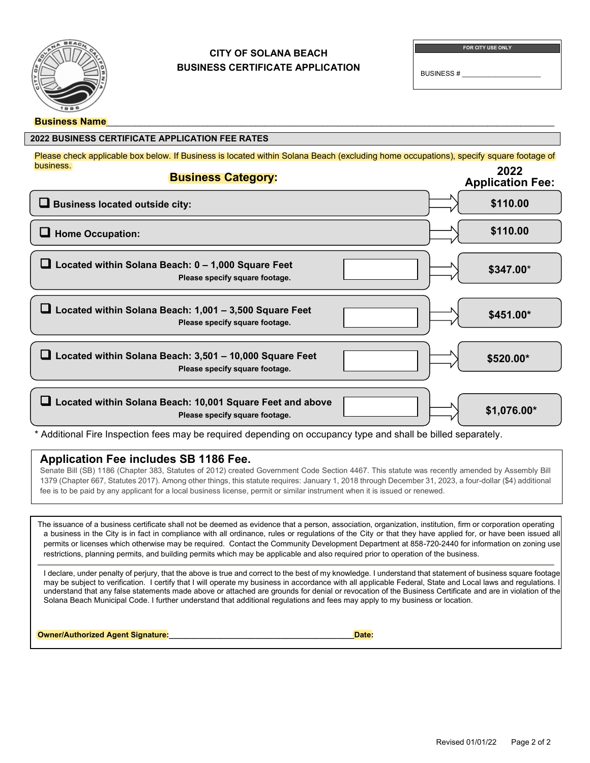

# **CITY OF SOLANA BEACH BUSINESS CERTIFICATE APPLICATION**

**FOR CITY USE ONLY**

BUSINESS #

# **2022 BUSINESS CERTIFICATE APPLICATION FEE RATES** Please check applicable box below. If Business is located within Solana Beach (excluding home occupations), specify square footage of business.  **Business Category: Business located outside city: Located within Solana Beach: 0 – 1,000 Square Feet Please specify square footage. \$347.00**\* **\$451.00\* Home Occupation: \$520.00\* \$1,076.00\* Located within Solana Beach: 1,001 – 3,500 Square Feet Please specify square footage. Located within Solana Beach: 3,501 – 10,000 Square Feet Please specify square footage. Located within Solana Beach: 10,001 Square Feet and above Please specify square footage. 2022 Application Fee: \$110.00 \$110.00**

\* Additional Fire Inspection fees may be required depending on occupancy type and shall be billed separately.

## **Application Fee includes SB 1186 Fee.**

Senate Bill (SB) 1186 (Chapter 383, Statutes of 2012) created Government Code Section 4467. This statute was recently amended by Assembly Bill 1379 (Chapter 667, Statutes 2017). Among other things, this statute requires: January 1, 2018 through December 31, 2023, a four-dollar (\$4) additional fee is to be paid by any applicant for a local business license, permit or similar instrument when it is issued or renewed.

The issuance of a business certificate shall not be deemed as evidence that a person, association, organization, institution, firm or corporation operating a business in the City is in fact in compliance with all ordinance, rules or regulations of the City or that they have applied for, or have been issued all permits or licenses which otherwise may be required. Contact the Community Development Department at 858-720-2440 for information on zoning use restrictions, planning permits, and building permits which may be applicable and also required prior to operation of the business.

I declare, under penalty of perjury, that the above is true and correct to the best of my knowledge. I understand that statement of business square footage may be subject to verification. I certify that I will operate my business in accordance with all applicable Federal, State and Local laws and regulations. I understand that any false statements made above or attached are grounds for denial or revocation of the Business Certificate and are in violation of the Solana Beach Municipal Code. I further understand that additional regulations and fees may apply to my business or location.

**Owner/Authorized Agent Signature: We are all that the state of the state:** The state of the state: